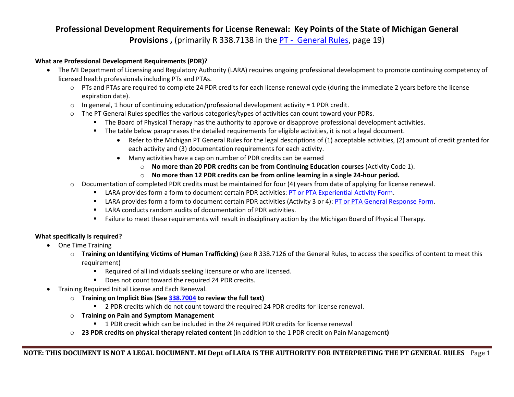## **Professional Development Requirements for License Renewal: Key Points of the State of Michigan General Provisions**, (primarily R 338.7138 in the PT - [General](https://ars.apps.lara.state.mi.us/AdminCode/DownloadAdminCodeFile?FileName=R%20338.7101%20to%20R%20338.7163.pdf&ReturnHTML=True) Rules, page 19)

## **What are Professional Development Requirements (PDR)?**

- The MI Department of Licensing and Regulatory Authority (LARA) requires ongoing professional development to promote continuing competency of licensed health professionals including PTs and PTAs.
	- o PTs and PTAs are required to complete 24 PDR credits for each license renewal cycle (during the immediate 2 years before the license expiration date).
	- $\circ$  In general, 1 hour of continuing education/professional development activity = 1 PDR credit.
	- $\circ$  The PT General Rules specifies the various categories/types of activities can count toward your PDRs.
		- The Board of Physical Therapy has the authority to approve or disapprove professional development activities.
		- The table below paraphrases the detailed requirements for eligible activities, it is not a legal document.
			- Refer to the Michigan PT General Rules for the legal descriptions of (1) acceptable activities, (2) amount of credit granted for each activity and (3) documentation requirements for each activity.
			- Many activities have a cap on number of PDR credits can be earned
				- o **No more than 20 PDR credits can be from Continuing Education courses** (Activity Code 1).
				- o **No more than 12 PDR credits can be from online learning in a single 24-hour period.**
	- o Documentation of completed PDR credits must be maintained for four (4) years from date of applying for license renewal.
		- **EXECT ARA provides form a form to document certain PDR activities: [PT or PTA Experiential Activity Form.](https://www.michigan.gov/lara/-/media/Project/Websites/lara/bpl/Physical-Therapy/Licensing-Info-and-Forms/PT-or-PTA-Experiential-Activity-Form.pdf?rev=1e25df23410a44339a8e9271b1f511ae&hash=89235DCB0D10430308DB5D59F2829A21)**
		- LARA provides form a form to document certain PDR activities (Activity 3 or 4): [PT or PTA General Response Form.](https://www.michigan.gov/lara/-/media/Project/Websites/lara/bpl/Physical-Therapy/Licensing-Info-and-Forms/PT-or-PTA-General-Response-Form.pdf?rev=fd8280dca5d74e81adf86d511486348b&hash=D37D74D34CF5F5F80B24DE65F7419CB9)
		- LARA conducts random audits of documentation of PDR activities.
		- Failure to meet these requirements will result in disciplinary action by the Michigan Board of Physical Therapy.

## **What specifically is required?**

- One Time Training
	- o **Training on Identifying Victims of Human Trafficking)** (see R 338.7126 of the General Rules, to access the specifics of content to meet this requirement)
		- **Required of all individuals seeking licensure or who are licensed.**
		- Does not count toward the required 24 PDR credits.
- Training Required Initial License and Each Renewal.
	- o **Training on Implicit Bias (See [338.7004](https://ars.apps.lara.state.mi.us/AdminCode/DownloadAdminCodeFile?FileName=R%20338.7001%20to%20R%20338.7005.pdf&ReturnHTML=True) to review the full text)**
		- **2 PDR credits which do not count toward the required 24 PDR credits for license renewal.**
	- o **Training on Pain and Symptom Management** 
		- 1 PDR credit which can be included in the 24 required PDR credits for license renewal
	- o **23 PDR credits on physical therapy related content** (in addition to the 1 PDR credit on Pain Management**)**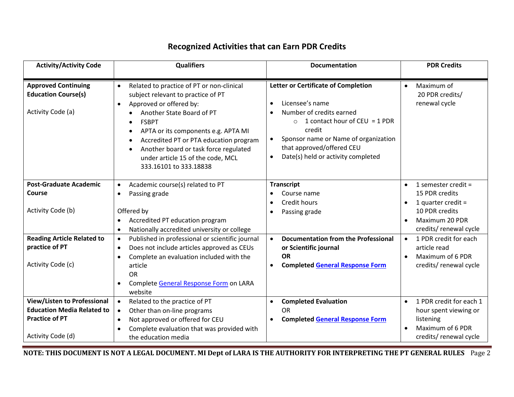## **Recognized Activities that can Earn PDR Credits**

| <b>Activity/Activity Code</b>                                                                    | <b>Qualifiers</b>                                                                                                                                                                                                                                                                                                                                                                                         | <b>Documentation</b>                                                                                                                                                                                                                                     | <b>PDR Credits</b>                                                                             |
|--------------------------------------------------------------------------------------------------|-----------------------------------------------------------------------------------------------------------------------------------------------------------------------------------------------------------------------------------------------------------------------------------------------------------------------------------------------------------------------------------------------------------|----------------------------------------------------------------------------------------------------------------------------------------------------------------------------------------------------------------------------------------------------------|------------------------------------------------------------------------------------------------|
| <b>Approved Continuing</b><br><b>Education Course(s)</b><br>Activity Code (a)                    | Related to practice of PT or non-clinical<br>$\bullet$<br>subject relevant to practice of PT<br>Approved or offered by:<br>$\bullet$<br>Another State Board of PT<br><b>FSBPT</b><br>$\bullet$<br>APTA or its components e.g. APTA MI<br>٠<br>Accredited PT or PTA education program<br>$\bullet$<br>Another board or task force regulated<br>under article 15 of the code, MCL<br>333.16101 to 333.18838 | Letter or Certificate of Completion<br>Licensee's name<br>Number of credits earned<br>1 contact hour of CEU = $1$ PDR<br>$\bigcirc$<br>credit<br>Sponsor name or Name of organization<br>that approved/offered CEU<br>Date(s) held or activity completed | Maximum of<br>$\bullet$<br>20 PDR credits/<br>renewal cycle                                    |
| <b>Post-Graduate Academic</b><br>Course                                                          | Academic course(s) related to PT<br>$\bullet$<br>Passing grade<br>$\bullet$                                                                                                                                                                                                                                                                                                                               | <b>Transcript</b><br>Course name<br>Credit hours                                                                                                                                                                                                         | 1 semester credit =<br>$\bullet$<br>15 PDR credits<br>1 quarter credit =<br>$\bullet$          |
| Activity Code (b)                                                                                | Offered by<br>Accredited PT education program<br>$\bullet$<br>Nationally accredited university or college<br>$\bullet$                                                                                                                                                                                                                                                                                    | Passing grade                                                                                                                                                                                                                                            | 10 PDR credits<br>Maximum 20 PDR<br>$\bullet$<br>credits/ renewal cycle                        |
| <b>Reading Article Related to</b><br>practice of PT                                              | Published in professional or scientific journal<br>$\bullet$<br>Does not include articles approved as CEUs<br>$\bullet$<br>Complete an evaluation included with the<br>$\bullet$                                                                                                                                                                                                                          | Documentation from the Professional<br>$\bullet$<br>or Scientific journal<br><b>OR</b>                                                                                                                                                                   | 1 PDR credit for each<br>$\bullet$<br>article read<br>Maximum of 6 PDR<br>$\bullet$            |
| Activity Code (c)                                                                                | article<br><b>OR</b><br>Complete General Response Form on LARA<br>$\bullet$<br>website                                                                                                                                                                                                                                                                                                                    | <b>Completed General Response Form</b><br>$\bullet$                                                                                                                                                                                                      | credits/ renewal cycle                                                                         |
| <b>View/Listen to Professional</b><br><b>Education Media Related to</b><br><b>Practice of PT</b> | Related to the practice of PT<br>$\bullet$<br>Other than on-line programs<br>$\bullet$<br>Not approved or offered for CEU<br>$\bullet$<br>Complete evaluation that was provided with                                                                                                                                                                                                                      | <b>Completed Evaluation</b><br><b>OR</b><br><b>Completed General Response Form</b><br>$\bullet$                                                                                                                                                          | 1 PDR credit for each 1<br>$\bullet$<br>hour spent viewing or<br>listening<br>Maximum of 6 PDR |
| Activity Code (d)                                                                                | the education media                                                                                                                                                                                                                                                                                                                                                                                       |                                                                                                                                                                                                                                                          | credits/ renewal cycle                                                                         |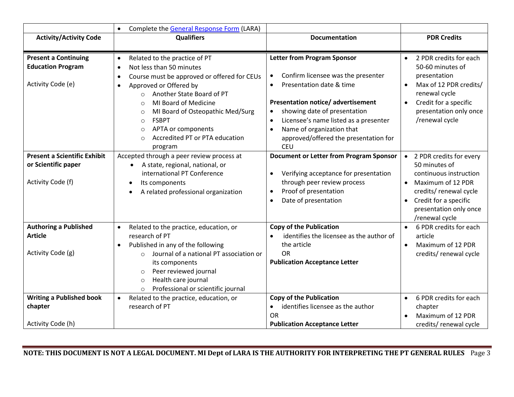|                                                | Complete the General Response Form (LARA)<br>$\bullet$                                    |                                                         |                                      |
|------------------------------------------------|-------------------------------------------------------------------------------------------|---------------------------------------------------------|--------------------------------------|
| <b>Activity/Activity Code</b>                  | <b>Qualifiers</b>                                                                         | <b>Documentation</b>                                    | <b>PDR Credits</b>                   |
|                                                |                                                                                           |                                                         |                                      |
| <b>Present a Continuing</b>                    | Related to the practice of PT<br>$\bullet$                                                | <b>Letter from Program Sponsor</b>                      | 2 PDR credits for each<br>$\bullet$  |
| <b>Education Program</b>                       | Not less than 50 minutes<br>$\bullet$                                                     |                                                         | 50-60 minutes of                     |
|                                                | Course must be approved or offered for CEUs<br>$\bullet$                                  | Confirm licensee was the presenter                      | presentation                         |
| Activity Code (e)                              | Approved or Offered by<br>$\bullet$                                                       | Presentation date & time<br>$\bullet$                   | Max of 12 PDR credits/<br>$\bullet$  |
|                                                | Another State Board of PT<br>$\circ$                                                      |                                                         | renewal cycle                        |
|                                                | MI Board of Medicine<br>$\Omega$                                                          | <b>Presentation notice/ advertisement</b>               | Credit for a specific<br>$\bullet$   |
|                                                | MI Board of Osteopathic Med/Surg<br>$\Omega$                                              | showing date of presentation<br>$\bullet$               | presentation only once               |
|                                                | <b>FSBPT</b><br>$\circ$                                                                   | Licensee's name listed as a presenter                   | /renewal cycle                       |
|                                                | APTA or components<br>$\circ$                                                             | Name of organization that                               |                                      |
|                                                | Accredited PT or PTA education<br>$\Omega$                                                | approved/offered the presentation for                   |                                      |
|                                                | program                                                                                   | <b>CEU</b>                                              |                                      |
| <b>Present a Scientific Exhibit</b>            | Accepted through a peer review process at                                                 | <b>Document or Letter from Program Sponsor</b>          | 2 PDR credits for every<br>$\bullet$ |
| or Scientific paper                            | A state, regional, national, or<br>$\bullet$                                              |                                                         | 50 minutes of                        |
|                                                | international PT Conference                                                               | Verifying acceptance for presentation                   | continuous instruction               |
| Activity Code (f)                              | Its components<br>$\bullet$                                                               | through peer review process                             | Maximum of 12 PDR                    |
|                                                | A related professional organization                                                       | Proof of presentation<br>$\bullet$                      | credits/ renewal cycle               |
|                                                |                                                                                           | Date of presentation<br>$\bullet$                       | Credit for a specific<br>$\bullet$   |
|                                                |                                                                                           |                                                         | presentation only once               |
|                                                |                                                                                           |                                                         | /renewal cycle                       |
| <b>Authoring a Published</b><br><b>Article</b> | Related to the practice, education, or<br>$\bullet$                                       | <b>Copy of the Publication</b>                          | 6 PDR credits for each               |
|                                                | research of PT                                                                            | identifies the licensee as the author of<br>the article | article                              |
| Activity Code (g)                              | Published in any of the following<br>$\bullet$<br>Journal of a national PT association or | <b>OR</b>                                               | Maximum of 12 PDR<br>$\bullet$       |
|                                                | $\Omega$<br>its components                                                                | <b>Publication Acceptance Letter</b>                    | credits/ renewal cycle               |
|                                                | Peer reviewed journal<br>$\circ$                                                          |                                                         |                                      |
|                                                | Health care journal                                                                       |                                                         |                                      |
|                                                | $\circ$<br>Professional or scientific journal                                             |                                                         |                                      |
| <b>Writing a Published book</b>                | Related to the practice, education, or<br>$\bullet$                                       | <b>Copy of the Publication</b>                          | 6 PDR credits for each<br>$\bullet$  |
| chapter                                        | research of PT                                                                            | identifies licensee as the author<br>$\bullet$          | chapter                              |
|                                                |                                                                                           | <b>OR</b>                                               | Maximum of 12 PDR                    |
| Activity Code (h)                              |                                                                                           | <b>Publication Acceptance Letter</b>                    | credits/renewal cycle                |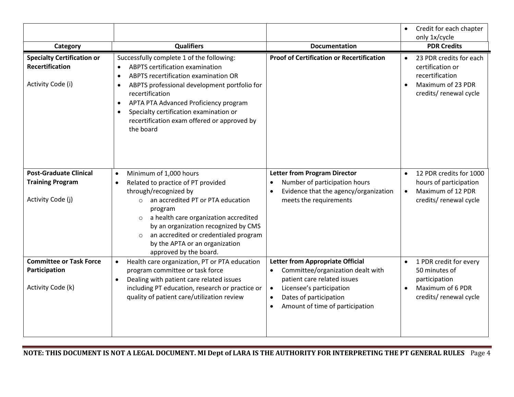|                                                             |                                                                                                                                                                                                                                                                                                                                    |                                                                                                                              | Credit for each chapter<br>only 1x/cycle                                           |
|-------------------------------------------------------------|------------------------------------------------------------------------------------------------------------------------------------------------------------------------------------------------------------------------------------------------------------------------------------------------------------------------------------|------------------------------------------------------------------------------------------------------------------------------|------------------------------------------------------------------------------------|
| Category                                                    | <b>Qualifiers</b>                                                                                                                                                                                                                                                                                                                  | <b>Documentation</b>                                                                                                         | <b>PDR Credits</b>                                                                 |
| <b>Specialty Certification or</b><br><b>Recertification</b> | Successfully complete 1 of the following:<br><b>ABPTS certification examination</b><br>$\bullet$<br>ABPTS recertification examination OR<br>$\bullet$                                                                                                                                                                              | <b>Proof of Certification or Recertification</b>                                                                             | 23 PDR credits for each<br>certification or<br>recertification                     |
| Activity Code (i)                                           | ABPTS professional development portfolio for<br>$\bullet$<br>recertification<br>APTA PTA Advanced Proficiency program<br>$\bullet$<br>Specialty certification examination or<br>recertification exam offered or approved by<br>the board                                                                                           |                                                                                                                              | Maximum of 23 PDR<br>credits/ renewal cycle                                        |
| <b>Post-Graduate Clinical</b>                               | Minimum of 1,000 hours<br>$\bullet$                                                                                                                                                                                                                                                                                                | <b>Letter from Program Director</b>                                                                                          | 12 PDR credits for 1000<br>$\bullet$                                               |
| <b>Training Program</b><br>Activity Code (j)                | Related to practice of PT provided<br>through/recognized by<br>an accredited PT or PTA education<br>$\circ$<br>program<br>a health care organization accredited<br>$\circ$<br>by an organization recognized by CMS<br>an accredited or credentialed program<br>$\circ$<br>by the APTA or an organization<br>approved by the board. | Number of participation hours<br>Evidence that the agency/organization<br>meets the requirements                             | hours of participation<br>Maximum of 12 PDR<br>$\bullet$<br>credits/ renewal cycle |
| <b>Committee or Task Force</b>                              | Health care organization, PT or PTA education<br>$\bullet$                                                                                                                                                                                                                                                                         | Letter from Appropriate Official                                                                                             | 1 PDR credit for every                                                             |
| Participation                                               | program committee or task force<br>Dealing with patient care related issues                                                                                                                                                                                                                                                        | Committee/organization dealt with<br>patient care related issues                                                             | 50 minutes of<br>participation                                                     |
| Activity Code (k)                                           | including PT education, research or practice or<br>quality of patient care/utilization review                                                                                                                                                                                                                                      | Licensee's participation<br>$\bullet$<br>Dates of participation<br>$\bullet$<br>Amount of time of participation<br>$\bullet$ | Maximum of 6 PDR<br>credits/ renewal cycle                                         |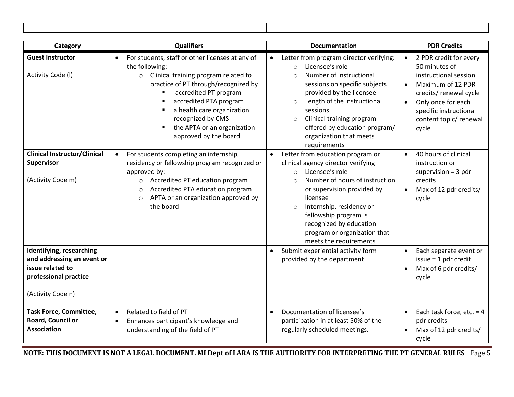| Category                                                                                                                 | <b>Qualifiers</b>                                                                                                                                                                                                                                                                                                                                                                             | <b>Documentation</b>                                                                                                                                                                                                                                                                                                                                 | <b>PDR Credits</b>                                                                                                                                                                                                          |
|--------------------------------------------------------------------------------------------------------------------------|-----------------------------------------------------------------------------------------------------------------------------------------------------------------------------------------------------------------------------------------------------------------------------------------------------------------------------------------------------------------------------------------------|------------------------------------------------------------------------------------------------------------------------------------------------------------------------------------------------------------------------------------------------------------------------------------------------------------------------------------------------------|-----------------------------------------------------------------------------------------------------------------------------------------------------------------------------------------------------------------------------|
| <b>Guest Instructor</b><br>Activity Code (I)                                                                             | For students, staff or other licenses at any of<br>$\bullet$<br>the following:<br>Clinical training program related to<br>$\circ$<br>practice of PT through/recognized by<br>accredited PT program<br>$\blacksquare$<br>accredited PTA program<br>a health care organization<br>$\blacksquare$<br>recognized by CMS<br>the APTA or an organization<br>$\blacksquare$<br>approved by the board | Letter from program director verifying:<br>Licensee's role<br>$\Omega$<br>Number of instructional<br>$\Omega$<br>sessions on specific subjects<br>provided by the licensee<br>Length of the instructional<br>$\circ$<br>sessions<br>Clinical training program<br>$\circ$<br>offered by education program/<br>organization that meets<br>requirements | 2 PDR credit for every<br>$\bullet$<br>50 minutes of<br>instructional session<br>Maximum of 12 PDR<br>$\bullet$<br>credits/ renewal cycle<br>Only once for each<br>specific instructional<br>content topic/renewal<br>cycle |
| <b>Clinical Instructor/Clinical</b><br>Supervisor<br>(Activity Code m)                                                   | For students completing an internship,<br>$\bullet$<br>residency or fellowship program recognized or<br>approved by:<br>Accredited PT education program<br>$\circ$<br>Accredited PTA education program<br>$\circ$<br>APTA or an organization approved by<br>$\circ$<br>the board                                                                                                              | Letter from education program or<br>clinical agency director verifying<br>Licensee's role<br>$\Omega$<br>Number of hours of instruction<br>$\Omega$<br>or supervision provided by<br>licensee<br>Internship, residency or<br>$\circ$<br>fellowship program is<br>recognized by education<br>program or organization that<br>meets the requirements   | 40 hours of clinical<br>$\bullet$<br>instruction or<br>supervision $=$ 3 pdr<br>credits<br>Max of 12 pdr credits/<br>cycle                                                                                                  |
| Identifying, researching<br>and addressing an event or<br>issue related to<br>professional practice<br>(Activity Code n) |                                                                                                                                                                                                                                                                                                                                                                                               | Submit experiential activity form<br>provided by the department                                                                                                                                                                                                                                                                                      | Each separate event or<br>$\bullet$<br>$issue = 1 pdf credit$<br>Max of 6 pdr credits/<br>cycle                                                                                                                             |
| <b>Task Force, Committee,</b><br><b>Board, Council or</b><br><b>Association</b>                                          | Related to field of PT<br>$\bullet$<br>Enhances participant's knowledge and<br>understanding of the field of PT                                                                                                                                                                                                                                                                               | Documentation of licensee's<br>$\bullet$<br>participation in at least 50% of the<br>regularly scheduled meetings.                                                                                                                                                                                                                                    | Each task force, etc. $=$ 4<br>pdr credits<br>Max of 12 pdr credits/<br>cycle                                                                                                                                               |